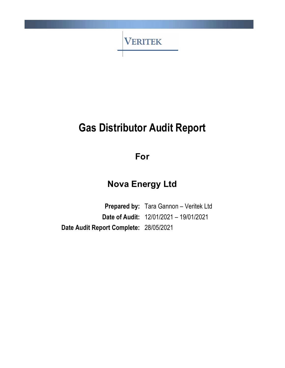

# Gas Distributor Audit Report

For

# Nova Energy Ltd

Prepared by: Tara Gannon - Veritek Ltd Date of Audit: 12/01/2021 – 19/01/2021 Date Audit Report Complete: 28/05/2021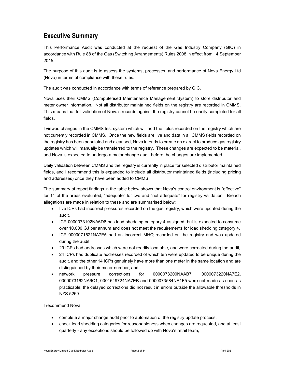### Executive Summary

This Performance Audit was conducted at the request of the Gas Industry Company (GIC) in accordance with Rule 88 of the Gas (Switching Arrangements) Rules 2008 in effect from 14 September 2015.

The purpose of this audit is to assess the systems, processes, and performance of Nova Energy Ltd (Nova) in terms of compliance with these rules.

The audit was conducted in accordance with terms of reference prepared by GIC.

Nova uses their CMMS (Computerised Maintenance Management System) to store distributor and meter owner information. Not all distributor maintained fields on the registry are recorded in CMMS. This means that full validation of Nova's records against the registry cannot be easily completed for all fields.

I viewed changes in the CMMS test system which will add the fields recorded on the registry which are not currently recorded in CMMS. Once the new fields are live and data in all CMMS fields recorded on the registry has been populated and cleansed, Nova intends to create an extract to produce gas registry updates which will manually be transferred to the registry. These changes are expected to be material, and Nova is expected to undergo a major change audit before the changes are implemented.

Daily validation between CMMS and the registry is currently in place for selected distributor maintained fields, and I recommend this is expanded to include all distributor maintained fields (including pricing and addresses) once they have been added to CMMS.

The summary of report findings in the table below shows that Nova's control environment is "effective" for 11 of the areas evaluated, "adequate" for two and "not adequate" for registry validation. Breach allegations are made in relation to these and are summarised below:

- five ICPs had incorrect pressures recorded on the gas registry, which were updated during the audit,
- ICP 0000073192NA6D6 has load shedding category 4 assigned, but is expected to consume over 10,000 GJ per annum and does not meet the requirements for load shedding category 4,
- ICP 0000071521NA7E5 had an incorrect MHQ recorded on the registry and was updated during the audit,
- 29 ICPs had addresses which were not readily locatable, and were corrected during the audit,
- 24 ICPs had duplicate addresses recorded of which ten were updated to be unique during the audit, and the other 14 ICPs genuinely have more than one meter in the same location and are distinguished by their meter number, and
- network pressure corrections for 0000073200NAAB7, 0000073220NA7E2, 0000073162NA6C1, 0001549724NA7EB and 0000073584NA1F5 were not made as soon as practicable; the delayed corrections did not result in errors outside the allowable thresholds in NZS 5259.

I recommend Nova:

- complete a major change audit prior to automation of the registry update process,
- check load shedding categories for reasonableness when changes are requested, and at least quarterly - any exceptions should be followed up with Nova's retail team,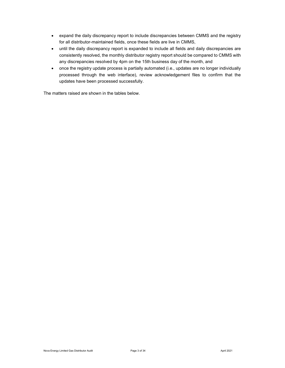- expand the daily discrepancy report to include discrepancies between CMMS and the registry for all distributor-maintained fields, once these fields are live in CMMS,
- until the daily discrepancy report is expanded to include all fields and daily discrepancies are consistently resolved, the monthly distributor registry report should be compared to CMMS with any discrepancies resolved by 4pm on the 15th business day of the month, and
- once the registry update process is partially automated (i.e., updates are no longer individually processed through the web interface), review acknowledgement files to confirm that the updates have been processed successfully.

The matters raised are shown in the tables below.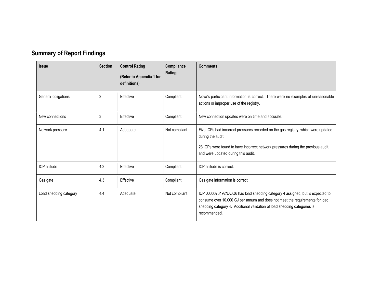| <b>Summary of Report Findings</b> |  |  |  |
|-----------------------------------|--|--|--|
|-----------------------------------|--|--|--|

| <b>Issue</b>           | <b>Section</b> | <b>Control Rating</b><br>(Refer to Appendix 1 for<br>definitions) | Compliance<br>Rating | <b>Comments</b>                                                                                                                                                                                                                                            |
|------------------------|----------------|-------------------------------------------------------------------|----------------------|------------------------------------------------------------------------------------------------------------------------------------------------------------------------------------------------------------------------------------------------------------|
| General obligations    | 2              | Effective                                                         | Compliant            | Nova's participant information is correct. There were no examples of unreasonable<br>actions or improper use of the registry.                                                                                                                              |
| New connections        | 3              | Effective                                                         | Compliant            | New connection updates were on time and accurate.                                                                                                                                                                                                          |
| Network pressure       | 4.1            | Adequate                                                          | Not compliant        | Five ICPs had incorrect pressures recorded on the gas registry, which were updated<br>during the audit.<br>23 ICPs were found to have incorrect network pressures during the previous audit,<br>and were updated during this audit.                        |
| ICP altitude           | 4.2            | Effective                                                         | Compliant            | ICP altitude is correct.                                                                                                                                                                                                                                   |
| Gas gate               | 4.3            | Effective                                                         | Compliant            | Gas gate information is correct.                                                                                                                                                                                                                           |
| Load shedding category | 4.4            | Adequate                                                          | Not compliant        | ICP 0000073192NA6D6 has load shedding category 4 assigned, but is expected to<br>consume over 10,000 GJ per annum and does not meet the requirements for load<br>shedding category 4. Additional validation of load shedding categories is<br>recommended. |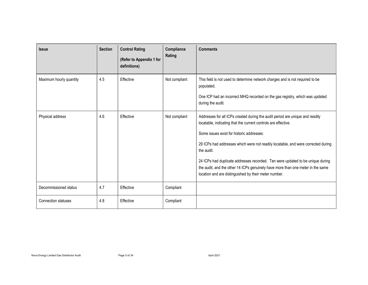| <b>Issue</b>               | <b>Section</b> | <b>Control Rating</b><br>(Refer to Appendix 1 for<br>definitions) | Compliance<br>Rating | <b>Comments</b>                                                                                                                                                                                                                                                                                                                                                                                                                                                                                                               |
|----------------------------|----------------|-------------------------------------------------------------------|----------------------|-------------------------------------------------------------------------------------------------------------------------------------------------------------------------------------------------------------------------------------------------------------------------------------------------------------------------------------------------------------------------------------------------------------------------------------------------------------------------------------------------------------------------------|
| Maximum hourly quantity    | 4.5            | Effective                                                         | Not compliant        | This field is not used to determine network charges and is not required to be<br>populated.<br>One ICP had an incorrect MHQ recorded on the gas registry, which was updated<br>during the audit.                                                                                                                                                                                                                                                                                                                              |
| Physical address           | 4.6            | Effective                                                         | Not compliant        | Addresses for all ICPs created during the audit period are unique and readily<br>locatable, indicating that the current controls are effective.<br>Some issues exist for historic addresses:<br>29 ICPs had addresses which were not readily locatable, and were corrected during<br>the audit.<br>24 ICPs had duplicate addresses recorded. Ten were updated to be unique during<br>the audit, and the other 14 ICPs genuinely have more than one meter in the same<br>location and are distinguished by their meter number. |
| Decommissioned status      | 4.7            | Effective                                                         | Compliant            |                                                                                                                                                                                                                                                                                                                                                                                                                                                                                                                               |
| <b>Connection statuses</b> | 4.8            | Effective                                                         | Compliant            |                                                                                                                                                                                                                                                                                                                                                                                                                                                                                                                               |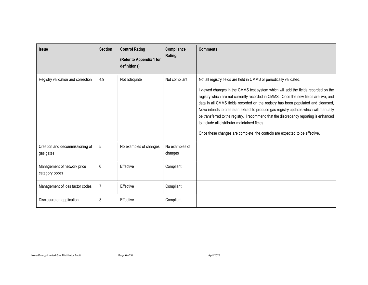| <b>Issue</b>                                  | <b>Section</b> | <b>Control Rating</b><br>(Refer to Appendix 1 for<br>definitions) | Compliance<br>Rating      | <b>Comments</b>                                                                                                                                                                                                                                                                                                                                                                                                                                                                                                                                                                                                                                           |
|-----------------------------------------------|----------------|-------------------------------------------------------------------|---------------------------|-----------------------------------------------------------------------------------------------------------------------------------------------------------------------------------------------------------------------------------------------------------------------------------------------------------------------------------------------------------------------------------------------------------------------------------------------------------------------------------------------------------------------------------------------------------------------------------------------------------------------------------------------------------|
| Registry validation and correction            | 4.9            | Not adequate                                                      | Not compliant             | Not all registry fields are held in CMMS or periodically validated.<br>I viewed changes in the CMMS test system which will add the fields recorded on the<br>registry which are not currently recorded in CMMS. Once the new fields are live, and<br>data in all CMMS fields recorded on the registry has been populated and cleansed,<br>Nova intends to create an extract to produce gas registry updates which will manually<br>be transferred to the registry. I recommend that the discrepancy reporting is enhanced<br>to include all distributor maintained fields.<br>Once these changes are complete, the controls are expected to be effective. |
| Creation and decommissioning of<br>gas gates  | 5              | No examples of changes                                            | No examples of<br>changes |                                                                                                                                                                                                                                                                                                                                                                                                                                                                                                                                                                                                                                                           |
| Management of network price<br>category codes | 6              | Effective                                                         | Compliant                 |                                                                                                                                                                                                                                                                                                                                                                                                                                                                                                                                                                                                                                                           |
| Management of loss factor codes               | 7              | Effective                                                         | Compliant                 |                                                                                                                                                                                                                                                                                                                                                                                                                                                                                                                                                                                                                                                           |
| Disclosure on application                     | 8              | Effective                                                         | Compliant                 |                                                                                                                                                                                                                                                                                                                                                                                                                                                                                                                                                                                                                                                           |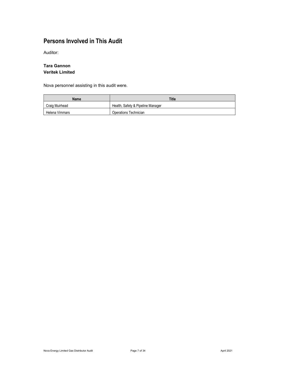# Persons Involved in This Audit

Auditor:

#### Tara Gannon Veritek Limited

Nova personnel assisting in this audit were.

| Name           | Title                             |
|----------------|-----------------------------------|
| Craig Muirhead | Health, Safety & Pipeline Manager |
| Helena Vimmars | Operations Technician             |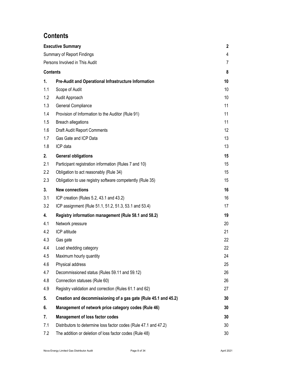# **Contents**

|                                   | <b>Executive Summary</b>                                         | 2  |  |  |
|-----------------------------------|------------------------------------------------------------------|----|--|--|
| <b>Summary of Report Findings</b> |                                                                  |    |  |  |
|                                   | Persons Involved in This Audit                                   | 7  |  |  |
| <b>Contents</b>                   |                                                                  | 8  |  |  |
| 1.                                | Pre-Audit and Operational Infrastructure Information             | 10 |  |  |
| 1.1                               | Scope of Audit                                                   | 10 |  |  |
| 1.2                               | Audit Approach                                                   | 10 |  |  |
| 1.3                               | General Compliance                                               | 11 |  |  |
| 1.4                               | Provision of Information to the Auditor (Rule 91)                | 11 |  |  |
| 1.5                               | <b>Breach allegations</b>                                        | 11 |  |  |
| 1.6                               | Draft Audit Report Comments                                      | 12 |  |  |
| 1.7                               | Gas Gate and ICP Data                                            | 13 |  |  |
| 1.8                               | ICP data                                                         | 13 |  |  |
| 2.                                | <b>General obligations</b>                                       | 15 |  |  |
| 2.1                               | Participant registration information (Rules 7 and 10)            | 15 |  |  |
| 2.2                               | Obligation to act reasonably (Rule 34)                           | 15 |  |  |
| 2.3                               | Obligation to use registry software competently (Rule 35)        | 15 |  |  |
| 3.                                | <b>New connections</b>                                           | 16 |  |  |
| 3.1                               | ICP creation (Rules 5.2, 43.1 and 43.2)                          | 16 |  |  |
| 3.2                               | ICP assignment (Rule 51.1, 51.2, 51.3, 53.1 and 53.4)            | 17 |  |  |
| 4.                                | Registry information management (Rule 58.1 and 58.2)             | 19 |  |  |
| 4.1                               | Network pressure                                                 | 20 |  |  |
| 4.2                               | ICP altitude                                                     | 21 |  |  |
| 4.3                               | Gas gate                                                         | 22 |  |  |
| 4.4                               | Load shedding category                                           | 22 |  |  |
| 4.5                               | Maximum hourly quantity                                          | 24 |  |  |
| 4.6                               | Physical address                                                 | 25 |  |  |
| 4.7                               | Decommissioned status (Rules 59.11 and 59.12)                    | 26 |  |  |
| 4.8                               | Connection statuses (Rule 60)                                    | 26 |  |  |
| 4.9                               | Registry validation and correction (Rules 61.1 and 62)           | 27 |  |  |
| 5.                                | Creation and decommissioning of a gas gate (Rule 45.1 and 45.2)  | 30 |  |  |
| 6.                                | Management of network price category codes (Rule 46)             | 30 |  |  |
| 7.                                | <b>Management of loss factor codes</b>                           | 30 |  |  |
| 7.1                               | Distributors to determine loss factor codes (Rule 47.1 and 47.2) | 30 |  |  |
| 7.2                               | The addition or deletion of loss factor codes (Rule 48)          | 30 |  |  |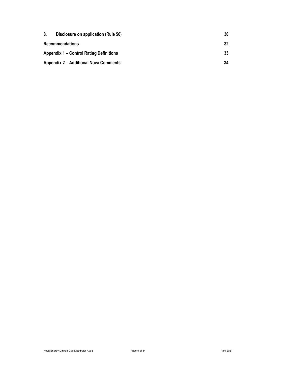| 8. | Disclosure on application (Rule 50)          | 30 |
|----|----------------------------------------------|----|
|    | <b>Recommendations</b>                       | 32 |
|    | Appendix 1 – Control Rating Definitions      | 33 |
|    | <b>Appendix 2 – Additional Nova Comments</b> | 34 |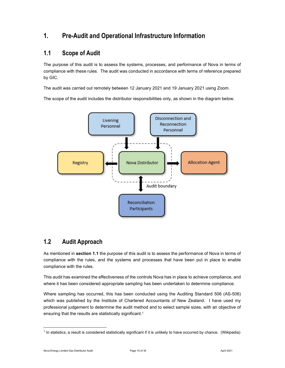# 1. Pre-Audit and Operational Infrastructure Information

### 1.1 Scope of Audit

The purpose of this audit is to assess the systems, processes, and performance of Nova in terms of compliance with these rules. The audit was conducted in accordance with terms of reference prepared by GIC.

The audit was carried out remotely between 12 January 2021 and 19 January 2021 using Zoom.

The scope of the audit includes the distributor responsibilities only, as shown in the diagram below.



#### 1.2 Audit Approach

As mentioned in section 1.1 the purpose of this audit is to assess the performance of Nova in terms of compliance with the rules, and the systems and processes that have been put in place to enable compliance with the rules.

This audit has examined the effectiveness of the controls Nova has in place to achieve compliance, and where it has been considered appropriate sampling has been undertaken to determine compliance.

Where sampling has occurred, this has been conducted using the Auditing Standard 506 (AS-506) which was published by the Institute of Chartered Accountants of New Zealand. I have used my professional judgement to determine the audit method and to select sample sizes, with an objective of ensuring that the results are statistically significant.<sup>1</sup>

<sup>1</sup> In statistics, a result is considered statistically significant if it is unlikely to have occurred by chance. (Wikipedia)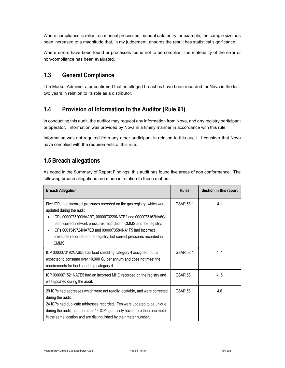Where compliance is reliant on manual processes, manual data entry for example, the sample size has been increased to a magnitude that, in my judgement, ensures the result has statistical significance.

Where errors have been found or processes found not to be compliant the materiality of the error or non-compliance has been evaluated.

### 1.3 General Compliance

The Market Administrator confirmed that no alleged breaches have been recorded for Nova in the last two years in relation to its role as a distributor.

# 1.4 Provision of Information to the Auditor (Rule 91)

In conducting this audit, the auditor may request any information from Nova, and any registry participant or operator. Information was provided by Nova in a timely manner in accordance with this rule.

Information was not required from any other participant in relation to this audit. I consider that Nova have complied with the requirements of this rule.

# 1.5 Breach allegations

As noted in the Summary of Report Findings, this audit has found five areas of non conformance. The following breach allegations are made in relation to these matters.

| <b>Breach Allegation</b>                                                                                                                                                                                                                                                                                                                                                               | <b>Rules</b> | Section in this report |
|----------------------------------------------------------------------------------------------------------------------------------------------------------------------------------------------------------------------------------------------------------------------------------------------------------------------------------------------------------------------------------------|--------------|------------------------|
| Five ICPs had incorrect pressures recorded on the gas registry, which were<br>updated during the audit.<br>ICPs 0000073200NAAB7, 0000073220NA7E2 and 0000073162NA6C1<br>had incorrect network pressures recorded in CMMS and the registry.<br>ICPs 0001549724NA7EB and 0000073584NA1F5 had incorrect<br>pressures recorded on the registry, but correct pressures recorded in<br>CMMS. | GSAR 58.1    | 4.1                    |
| ICP 0000073192NA6D6 has load shedding category 4 assigned, but is<br>expected to consume over 10,000 GJ per annum and does not meet the<br>requirements for load shedding category 4.                                                                                                                                                                                                  | GSAR 58.1    | 4.4                    |
| ICP 0000071521NA7E5 had an incorrect MHQ recorded on the registry and<br>was updated during the audit.                                                                                                                                                                                                                                                                                 | GSAR 58.1    | 4.5                    |
| 29 ICPs had addresses which were not readily locatable, and were corrected<br>during the audit.<br>24 ICPs had duplicate addresses recorded. Ten were updated to be unique<br>during the audit, and the other 14 ICPs genuinely have more than one meter<br>in the same location and are distinguished by their meter number.                                                          | GSAR 58.1    | 4.6                    |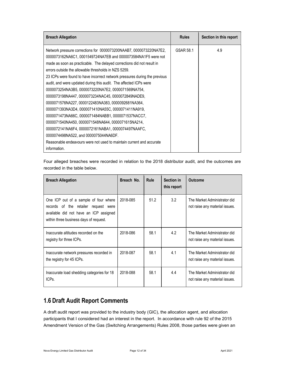| <b>Breach Allegation</b>                                                                                                                                                                                                                                                                                                                                                                                                                                                                                                                                                                                                                                                                                                                                                                                                                                                                                                                            | <b>Rules</b> | Section in this report |
|-----------------------------------------------------------------------------------------------------------------------------------------------------------------------------------------------------------------------------------------------------------------------------------------------------------------------------------------------------------------------------------------------------------------------------------------------------------------------------------------------------------------------------------------------------------------------------------------------------------------------------------------------------------------------------------------------------------------------------------------------------------------------------------------------------------------------------------------------------------------------------------------------------------------------------------------------------|--------------|------------------------|
| Network pressure corrections for 0000073200NAAB7, 0000073220NA7E2,<br>0000073162NA6C1, 0001549724NA7EB and 0000073584NA1F5 were not<br>made as soon as practicable. The delayed corrections did not result in<br>errors outside the allowable thresholds in NZS 5259.<br>23 ICPs were found to have incorrect network pressures during the previous<br>audit, and were updated during this audit. The affected ICPs were<br>0000073254NA3B5, 0000073220NA7E2, 0000071569NA754,<br>0000073198NA447, 0000073234NAC45, 0000072849NADE9,<br>0000071576NA227, 0000122483NA383, 0000092681NA364,<br>0000071393NA3D4, 0000071410NA55C, 0000071411NA919,<br>0000071473NA66C, 0000071484NABB1, 0000071537NACC7,<br>0000071540NA450, 0000071548NA644, 0000071615NA214,<br>0000072141NA6F4, 0000072161NABA1, 0000074497NAAFC,<br>0000074498NA522, and 0000075044NA6DF.<br>Reasonable endeavours were not used to maintain current and accurate<br>information. | GSAR 58.1    | 4.9                    |

| Four alleged breaches were recorded in relation to the 2018 distributor audit, and the outcomes are |  |  |  |  |  |  |
|-----------------------------------------------------------------------------------------------------|--|--|--|--|--|--|
| recorded in the table below.                                                                        |  |  |  |  |  |  |

| <b>Breach Allegation</b>                                                                                                                                          | Breach No. | <b>Rule</b> | Section in<br>this report | <b>Outcome</b>                                                 |
|-------------------------------------------------------------------------------------------------------------------------------------------------------------------|------------|-------------|---------------------------|----------------------------------------------------------------|
| One ICP out of a sample of four where<br>records of the retailer request were<br>available did not have an ICP assigned<br>within three business days of request. | 2018-085   | 51.2        | 3.2                       | The Market Administrator did<br>not raise any material issues. |
| Inaccurate altitudes recorded on the<br>registry for three ICPs.                                                                                                  | 2018-086   | 58.1        | 4.2                       | The Market Administrator did<br>not raise any material issues. |
| Inaccurate network pressures recorded in<br>the registry for 45 ICPs.                                                                                             | 2018-087   | 58.1        | 4.1                       | The Market Administrator did<br>not raise any material issues. |
| Inaccurate load shedding categories for 18<br>ICPs.                                                                                                               | 2018-088   | 58.1        | 4.4                       | The Market Administrator did<br>not raise any material issues. |

# 1.6 Draft Audit Report Comments

A draft audit report was provided to the industry body (GIC), the allocation agent, and allocation participants that I considered had an interest in the report. In accordance with rule 92 of the 2015 Amendment Version of the Gas (Switching Arrangements) Rules 2008, those parties were given an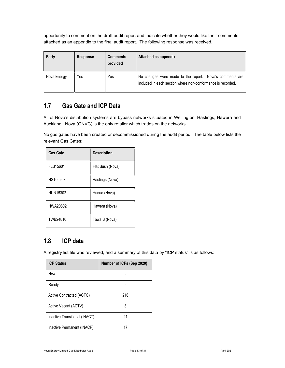opportunity to comment on the draft audit report and indicate whether they would like their comments attached as an appendix to the final audit report. The following response was received.

| Party       | Response | <b>Comments</b><br>provided | Attached as appendix                                                                                                   |
|-------------|----------|-----------------------------|------------------------------------------------------------------------------------------------------------------------|
| Nova Energy | Yes      | Yes                         | No changes were made to the report. Nova's comments are<br>included in each section where non-conformance is recorded. |

# 1.7 Gas Gate and ICP Data

All of Nova's distribution systems are bypass networks situated in Wellington, Hastings, Hawera and Auckland. Nova (GNVG) is the only retailer which trades on the networks.

No gas gates have been created or decommissioned during the audit period. The table below lists the relevant Gas Gates:

| <b>Gas Gate</b> | <b>Description</b> |
|-----------------|--------------------|
| FLB15601        | Flat Bush (Nova)   |
| HST05203        | Hastings (Nova)    |
| HUN15302        | Hunua (Nova)       |
| HWA20802        | Hawera (Nova)      |
| TWB24810        | Tawa B (Nova)      |

### 1.8 ICP data

A registry list file was reviewed, and a summary of this data by "ICP status" is as follows:

| <b>ICP Status</b>             | Number of ICPs (Sep 2020) |
|-------------------------------|---------------------------|
| <b>New</b>                    |                           |
| Ready                         |                           |
| Active Contracted (ACTC)      | 216                       |
| Active Vacant (ACTV)          | 3                         |
| Inactive Transitional (INACT) | 21                        |
| Inactive Permanent (INACP)    | 17                        |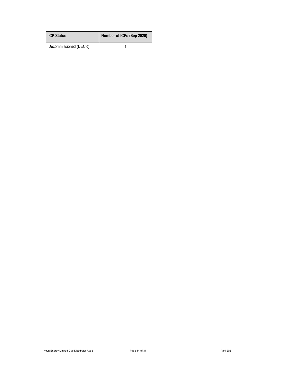| ICP Status            | Number of ICPs (Sep 2020) |
|-----------------------|---------------------------|
| Decommissioned (DECR) |                           |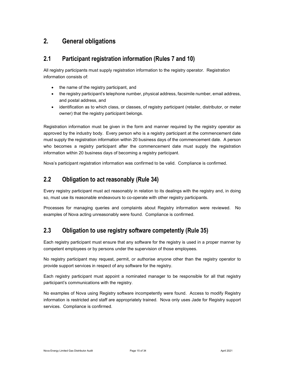# 2. General obligations

### 2.1 Participant registration information (Rules 7 and 10)

All registry participants must supply registration information to the registry operator. Registration information consists of:

- the name of the registry participant, and
- the registry participant's telephone number, physical address, facsimile number, email address, and postal address, and
- identification as to which class, or classes, of registry participant (retailer, distributor, or meter owner) that the registry participant belongs.

Registration information must be given in the form and manner required by the registry operator as approved by the industry body. Every person who is a registry participant at the commencement date must supply the registration information within 20 business days of the commencement date. A person who becomes a registry participant after the commencement date must supply the registration information within 20 business days of becoming a registry participant.

Nova's participant registration information was confirmed to be valid. Compliance is confirmed.

### 2.2 Obligation to act reasonably (Rule 34)

Every registry participant must act reasonably in relation to its dealings with the registry and, in doing so, must use its reasonable endeavours to co-operate with other registry participants.

Processes for managing queries and complaints about Registry information were reviewed. No examples of Nova acting unreasonably were found. Compliance is confirmed.

### 2.3 Obligation to use registry software competently (Rule 35)

Each registry participant must ensure that any software for the registry is used in a proper manner by competent employees or by persons under the supervision of those employees.

No registry participant may request, permit, or authorise anyone other than the registry operator to provide support services in respect of any software for the registry.

Each registry participant must appoint a nominated manager to be responsible for all that registry participant's communications with the registry.

No examples of Nova using Registry software incompetently were found. Access to modify Registry information is restricted and staff are appropriately trained. Nova only uses Jade for Registry support services. Compliance is confirmed.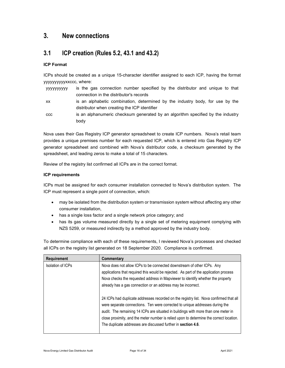### 3. New connections

### 3.1 ICP creation (Rules 5.2, 43.1 and 43.2)

#### ICP Format

ICPs should be created as a unique 15-character identifier assigned to each ICP, having the format yyyyyyyyyyxxccc, where:

| уууууууууу | is the gas connection number specified by the distributor and unique to that    |
|------------|---------------------------------------------------------------------------------|
|            | connection in the distributor's records                                         |
| XX.        | is an alphabetic combination, determined by the industry body, for use by the   |
|            | distributor when creating the ICP identifier                                    |
| <b>CCC</b> | is an alphanumeric checksum generated by an algorithm specified by the industry |
|            | body                                                                            |

Nova uses their Gas Registry ICP generator spreadsheet to create ICP numbers. Nova's retail team provides a unique premises number for each requested ICP, which is entered into Gas Registry ICP generator spreadsheet and combined with Nova's distributor code, a checksum generated by the spreadsheet, and leading zeros to make a total of 15 characters.

Review of the registry list confirmed all ICPs are in the correct format.

#### ICP requirements

ICPs must be assigned for each consumer installation connected to Nova's distribution system. The ICP must represent a single point of connection, which:

- may be isolated from the distribution system or transmission system without affecting any other consumer installation,
- has a single loss factor and a single network price category; and
- has its gas volume measured directly by a single set of metering equipment complying with NZS 5259, or measured indirectly by a method approved by the industry body.

To determine compliance with each of these requirements, I reviewed Nova's processes and checked all ICPs on the registry list generated on 18 September 2020. Compliance is confirmed.

| <b>Requirement</b> | Commentary                                                                                                                                                                                                                                                                                                                                                                                                               |
|--------------------|--------------------------------------------------------------------------------------------------------------------------------------------------------------------------------------------------------------------------------------------------------------------------------------------------------------------------------------------------------------------------------------------------------------------------|
| Isolation of ICPs  | Nova does not allow ICPs to be connected downstream of other ICPs. Any<br>applications that required this would be rejected. As part of the application process<br>Nova checks the requested address in Mapviewer to identify whether the property<br>already has a gas connection or an address may be incorrect.                                                                                                       |
|                    | 24 ICPs had duplicate addresses recorded on the registry list. Nova confirmed that all<br>were separate connections. Ten were corrected to unique addresses during the<br>audit. The remaining 14 ICPs are situated in buildings with more than one meter in<br>close proximity, and the meter number is relied upon to determine the correct location.<br>The duplicate addresses are discussed further in section 4.6. |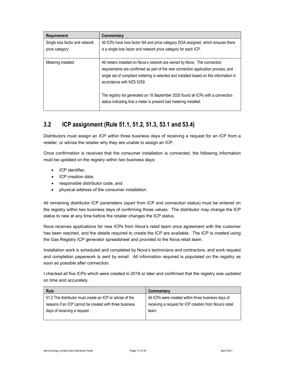| <b>Requirement</b>                               | Commentary                                                                                                                                                                                                                                                                            |
|--------------------------------------------------|---------------------------------------------------------------------------------------------------------------------------------------------------------------------------------------------------------------------------------------------------------------------------------------|
| Single loss factor and network<br>price category | All ICPs have loss factor NA and price category DOA assigned, which ensures there<br>is a single loss factor and network price category for each ICP.                                                                                                                                 |
| Metering installed                               | All meters installed on Nova's network are owned by Nova. The connection<br>requirements are confirmed as part of the new connection application process, and<br>single set of compliant metering is selected and installed based on this information in<br>accordance with NZS 5259. |
|                                                  | The registry list generated on 18 September 2020 found all ICPs with a connection<br>status indicating that a meter is present had metering installed.                                                                                                                                |

# 3.2 ICP assignment (Rule 51.1, 51.2, 51.3, 53.1 and 53.4)

Distributors must assign an ICP within three business days of receiving a request for an ICP from a retailer, or advise the retailer why they are unable to assign an ICP.

Once confirmation is received that the consumer installation is connected, the following information must be updated on the registry within two business days:

- ICP identifier,
- ICP creation date,
- responsible distributor code, and
- physical address of the consumer installation.

All remaining distributor ICP parameters (apart from ICP and connection status) must be entered on the registry within two business days of confirming those values. The distributor may change the ICP status to new at any time before the retailer changes the ICP status.

Nova receives applications for new ICPs from Nova's retail team once agreement with the customer has been reached, and the details required to create the ICP are available. The ICP is created using the Gas Registry ICP generator spreadsheet and provided to the Nova retail team.

Installation work is scheduled and completed by Nova's technicians and contractors, and work request and completion paperwork is sent by email. All information required is populated on the registry as soon as possible after connection.

I checked all five ICPs which were created in 2018 or later and confirmed that the registry was updated on time and accurately.

| <b>Rule</b>                                              | Commentary                                              |
|----------------------------------------------------------|---------------------------------------------------------|
| 51.2 The distributor must create an ICP or advise of the | All ICPs were created within three business days of     |
| reasons if an ICP cannot be created with three business  | receiving a request for ICP creation from Nova's retail |
| days of receiving a request.                             | team.                                                   |
|                                                          |                                                         |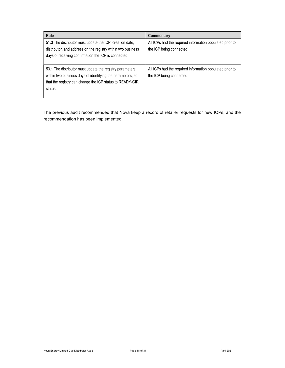| <b>Rule</b>                                                                                                                                                                                   | Commentary                                                                           |
|-----------------------------------------------------------------------------------------------------------------------------------------------------------------------------------------------|--------------------------------------------------------------------------------------|
| 51.3 The distributor must update the ICP, creation date,<br>distributor, and address on the registry within two business<br>days of receiving confirmation the ICP is connected.              | All ICPs had the required information populated prior to<br>the ICP being connected. |
| 53.1 The distributor must update the registry parameters<br>within two business days of identifying the parameters, so<br>that the registry can change the ICP status to READY-GIR<br>status. | All ICPs had the required information populated prior to<br>the ICP being connected. |

The previous audit recommended that Nova keep a record of retailer requests for new ICPs, and the recommendation has been implemented.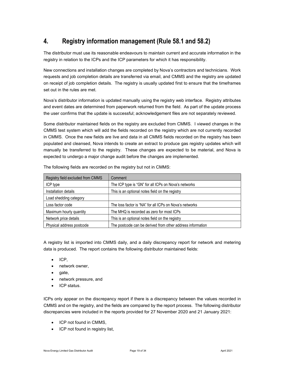# 4. Registry information management (Rule 58.1 and 58.2)

The distributor must use its reasonable endeavours to maintain current and accurate information in the registry in relation to the ICPs and the ICP parameters for which it has responsibility.

New connections and installation changes are completed by Nova's contractors and technicians. Work requests and job completion details are transferred via email, and CMMS and the registry are updated on receipt of job completion details. The registry is usually updated first to ensure that the timeframes set out in the rules are met.

Nova's distributor information is updated manually using the registry web interface. Registry attributes and event dates are determined from paperwork returned from the field. As part of the update process the user confirms that the update is successful; acknowledgement files are not separately reviewed.

Some distributor maintained fields on the registry are excluded from CMMS. I viewed changes in the CMMS test system which will add the fields recorded on the registry which are not currently recorded in CMMS. Once the new fields are live and data in all CMMS fields recorded on the registry has been populated and cleansed, Nova intends to create an extract to produce gas registry updates which will manually be transferred to the registry. These changes are expected to be material, and Nova is expected to undergo a major change audit before the changes are implemented.

| Registry field excluded from CMMS | Comment                                                    |
|-----------------------------------|------------------------------------------------------------|
| ICP type                          | The ICP type is "GN" for all ICPs on Nova's networks       |
| Installation details              | This is an optional notes field on the registry            |
| Load shedding category            |                                                            |
| Loss factor code                  | The loss factor is "NA" for all ICPs on Nova's networks    |
| Maximum hourly quantity           | The MHQ is recorded as zero for most ICPs                  |
| Network price details             | This is an optional notes field on the registry            |
| Physical address postcode         | The postcode can be derived from other address information |

The following fields are recorded on the registry but not in CMMS:

A registry list is imported into CMMS daily, and a daily discrepancy report for network and metering data is produced. The report contains the following distributor maintained fields:

- $\bullet$  ICP,
- network owner,
- gate,
- network pressure, and
- ICP status.

ICPs only appear on the discrepancy report if there is a discrepancy between the values recorded in CMMS and on the registry, and the fields are compared by the report process. The following distributor discrepancies were included in the reports provided for 27 November 2020 and 21 January 2021:

- ICP not found in CMMS,
- ICP not found in registry list,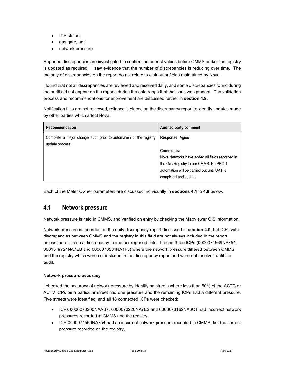- ICP status,
- gas gate, and
- network pressure.

Reported discrepancies are investigated to confirm the correct values before CMMS and/or the registry is updated as required. I saw evidence that the number of discrepancies is reducing over time. The majority of discrepancies on the report do not relate to distributor fields maintained by Nova.

I found that not all discrepancies are reviewed and resolved daily, and some discrepancies found during the audit did not appear on the reports during the date range that the issue was present. The validation process and recommendations for improvement are discussed further in section 4.9.

Notification files are not reviewed, reliance is placed on the discrepancy report to identify updates made by other parties which affect Nova.

| Recommendation                                                                       | <b>Audited party comment</b>                                                                                                                                                  |
|--------------------------------------------------------------------------------------|-------------------------------------------------------------------------------------------------------------------------------------------------------------------------------|
| Complete a major change audit prior to automation of the registry<br>update process. | <b>Response: Agree</b>                                                                                                                                                        |
|                                                                                      | Comments:<br>Nova Networks have added all fields recorded in<br>the Gas Registry to our CMMS. No PROD<br>automation will be carried out until UAT is<br>completed and audited |

Each of the Meter Owner parameters are discussed individually in sections 4.1 to 4.8 below.

#### 4.1 Network pressure

Network pressure is held in CMMS, and verified on entry by checking the Mapviewer GIS information.

Network pressure is recorded on the daily discrepancy report discussed in section 4.9, but ICPs with discrepancies between CMMS and the registry in this field are not always included in the report unless there is also a discrepancy in another reported field. I found three ICPs (0000071569NA754, 0001549724NA7EB and 0000073584NA1F5) where the network pressure differed between CMMS and the registry which were not included in the discrepancy report and were not resolved until the audit.

#### Network pressure accuracy

I checked the accuracy of network pressure by identifying streets where less than 60% of the ACTC or ACTV ICPs on a particular street had one pressure and the remaining ICPs had a different pressure. Five streets were identified, and all 18 connected ICPs were checked:

- ICPs 0000073200NAAB7, 0000073220NA7E2 and 0000073162NA6C1 had incorrect network pressures recorded in CMMS and the registry,
- ICP 0000071569NA754 had an incorrect network pressure recorded in CMMS, but the correct pressure recorded on the registry,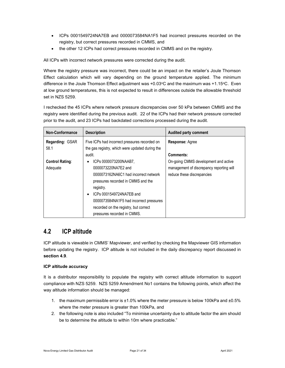- ICPs 0001549724NA7EB and 0000073584NA1F5 had incorrect pressures recorded on the registry, but correct pressures recorded in CMMS, and
- the other 12 ICPs had correct pressures recorded in CMMS and on the registry.

All ICPs with incorrect network pressures were corrected during the audit.

Where the registry pressure was incorrect, there could be an impact on the retailer's Joule Thomson Effect calculation which will vary depending on the ground temperature applied. The minimum difference in the Joule Thomson Effect adjustment was +0.03°C and the maximum was +1.15°C. Even at low ground temperatures, this is not expected to result in differences outside the allowable threshold set in NZS 5259.

I rechecked the 45 ICPs where network pressure discrepancies over 50 kPa between CMMS and the registry were identified during the previous audit. 22 of the ICPs had their network pressure corrected prior to the audit, and 23 ICPs had backdated corrections processed during the audit.

| Non-Conformance        | <b>Description</b>                              | <b>Audited party comment</b>             |  |
|------------------------|-------------------------------------------------|------------------------------------------|--|
| <b>Regarding: GSAR</b> | Five ICPs had incorrect pressures recorded on   | <b>Response: Agree</b>                   |  |
| 58.1                   | the gas registry, which were updated during the |                                          |  |
|                        | audit.                                          | Comments:                                |  |
| <b>Control Rating:</b> | ICPs 0000073200NAAB7,                           | On-going CMMS development and active     |  |
| Adequate               | 0000073220NA7F2 and                             | management of discrepancy reporting will |  |
|                        | 0000073162NA6C1 had incorrect network           | reduce these discrepancies               |  |
|                        | pressures recorded in CMMS and the              |                                          |  |
|                        | registry.                                       |                                          |  |
|                        | ICPs 0001549724NA7EB and<br>$\bullet$           |                                          |  |
|                        | 0000073584NA1F5 had incorrect pressures         |                                          |  |
|                        | recorded on the registry, but correct           |                                          |  |
|                        | pressures recorded in CMMS.                     |                                          |  |

#### 4.2 ICP altitude

ICP altitude is viewable in CMMS' Mapviewer, and verified by checking the Mapviewer GIS information before updating the registry. ICP altitude is not included in the daily discrepancy report discussed in section 4.9.

#### ICP altitude accuracy

It is a distributor responsibility to populate the registry with correct altitude information to support compliance with NZS 5259. NZS 5259 Amendment No1 contains the following points, which affect the way altitude information should be managed:

- 1. the maximum permissible error is ±1.0% where the meter pressure is below 100kPa and ±0.5% where the meter pressure is greater than 100kPa, and
- 2. the following note is also included "To minimise uncertainty due to altitude factor the aim should be to determine the altitude to within 10m where practicable."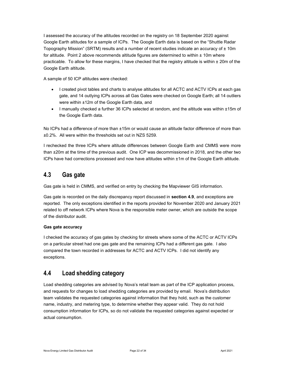I assessed the accuracy of the altitudes recorded on the registry on 18 September 2020 against Google Earth altitudes for a sample of ICPs. The Google Earth data is based on the "Shuttle Radar Topography Mission" (SRTM) results and a number of recent studies indicate an accuracy of  $\pm$  10m for altitude. Point 2 above recommends altitude figures are determined to within  $\pm$  10m where practicable. To allow for these margins, I have checked that the registry altitude is within ± 20m of the Google Earth altitude.

A sample of 50 ICP altitudes were checked:

- I created pivot tables and charts to analyse altitudes for all ACTC and ACTV ICPs at each gas gate, and 14 outlying ICPs across all Gas Gates were checked on Google Earth; all 14 outliers were within ±12m of the Google Earth data, and
- I manually checked a further 36 ICPs selected at random, and the altitude was within  $\pm 15$ m of the Google Earth data.

No ICPs had a difference of more than ±15m or would cause an altitude factor difference of more than ±0.2%. All were within the thresholds set out in NZS 5259.

I rechecked the three ICPs where altitude differences between Google Earth and CMMS were more than ±20m at the time of the previous audit. One ICP was decommissioned in 2018, and the other two ICPs have had corrections processed and now have altitudes within ±1m of the Google Earth altitude.

### 4.3 Gas gate

Gas gate is held in CMMS, and verified on entry by checking the Mapviewer GIS information.

Gas gate is recorded on the daily discrepancy report discussed in section 4.9, and exceptions are reported. The only exceptions identified in the reports provided for November 2020 and January 2021 related to off network ICPs where Nova is the responsible meter owner, which are outside the scope of the distributor audit.

#### Gas gate accuracy

I checked the accuracy of gas gates by checking for streets where some of the ACTC or ACTV ICPs on a particular street had one gas gate and the remaining ICPs had a different gas gate. I also compared the town recorded in addresses for ACTC and ACTV ICPs. I did not identify any exceptions.

### 4.4 Load shedding category

Load shedding categories are advised by Nova's retail team as part of the ICP application process, and requests for changes to load shedding categories are provided by email. Nova's distribution team validates the requested categories against information that they hold, such as the customer name, industry, and metering type, to determine whether they appear valid. They do not hold consumption information for ICPs, so do not validate the requested categories against expected or actual consumption.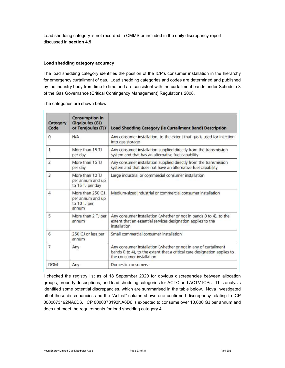Load shedding category is not recorded in CMMS or included in the daily discrepancy report discussed in section 4.9.

#### Load shedding category accuracy

The load shedding category identifies the position of the ICP's consumer installation in the hierarchy for emergency curtailment of gas. Load shedding categories and codes are determined and published by the industry body from time to time and are consistent with the curtailment bands under Schedule 3 of the Gas Governance (Critical Contingency Management) Regulations 2008.

The categories are shown below.

| Category<br>Code | <b>Consumption in</b><br><b>Gigajoules (GJ)</b><br>or Terajoules (TJ) | <b>Load Shedding Category (ie Curtailment Band) Description</b>                                                                                                          |
|------------------|-----------------------------------------------------------------------|--------------------------------------------------------------------------------------------------------------------------------------------------------------------------|
| 0                | <b>N/A</b>                                                            | Any consumer installation, to the extent that gas is used for injection<br>into gas storage                                                                              |
| $\mathbf{1}$     | More than 15 TJ<br>per day                                            | Any consumer installation supplied directly from the transmission<br>system and that has an alternative fuel capability                                                  |
| $\overline{2}$   | More than 15 TJ<br>per day                                            | Any consumer installation supplied directly from the transmission<br>system and that does not have an alternative fuel capability                                        |
| 3                | More than 10 TJ<br>per annum and up<br>to 15 TJ per day               | Large industrial or commercial consumer installation                                                                                                                     |
| 4                | More than 250 GJ<br>per annum and up<br>to 10 TJ per<br>annum         | Medium-sized industrial or commercial consumer installation                                                                                                              |
| 5                | More than 2 TJ per<br>annum                                           | Any consumer installation (whether or not in bands 0 to 4), to the<br>extent that an essential services designation applies to the<br>installation                       |
| 6                | 250 GJ or less per<br>annum                                           | Small commercial consumer installation                                                                                                                                   |
| $\overline{7}$   | Any                                                                   | Any consumer installation (whether or not in any of curtailment<br>bands 0 to 4), to the extent that a critical care designation applies to<br>the consumer installation |
| <b>DOM</b>       | Any                                                                   | Domestic consumers                                                                                                                                                       |

I checked the registry list as of 18 September 2020 for obvious discrepancies between allocation groups, property descriptions, and load shedding categories for ACTC and ACTV ICPs. This analysis identified some potential discrepancies, which are summarised in the table below. Nova investigated all of these discrepancies and the "Actual" column shows one confirmed discrepancy relating to ICP 0000073192NA6D6. ICP 0000073192NA6D6 is expected to consume over 10,000 GJ per annum and does not meet the requirements for load shedding category 4.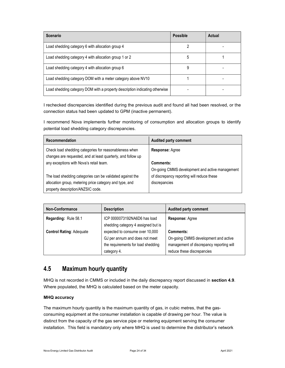| <b>Scenario</b>                                                             | <b>Possible</b> | Actual |
|-----------------------------------------------------------------------------|-----------------|--------|
| Load shedding category 6 with allocation group 4                            |                 |        |
| Load shedding category 4 with allocation group 1 or 2                       | 5               |        |
| Load shedding category 4 with allocation group 6                            | 9               |        |
| Load shedding category DOM with a meter category above NV10                 |                 |        |
| Load shedding category DOM with a property description indicating otherwise |                 |        |

I rechecked discrepancies identified during the previous audit and found all had been resolved, or the connection status had been updated to GPM (inactive permanent).

I recommend Nova implements further monitoring of consumption and allocation groups to identify potential load shedding category discrepancies.

| Recommendation                                                                                                         | Audited party comment                           |
|------------------------------------------------------------------------------------------------------------------------|-------------------------------------------------|
| Check load shedding categories for reasonableness when<br>changes are requested, and at least quarterly, and follow up | <b>Response: Agree</b>                          |
| any exceptions with Nova's retail team.                                                                                | Comments:                                       |
|                                                                                                                        | On-going CMMS development and active management |
| The load shedding categories can be validated against the                                                              | of discrepancy reporting will reduce these      |
| allocation group, metering price category and type, and                                                                | discrepancies                                   |
| property description/ANZSIC code.                                                                                      |                                                 |

| <b>Non-Conformance</b>          | <b>Description</b>                                                     | Audited party comment                    |
|---------------------------------|------------------------------------------------------------------------|------------------------------------------|
| Regarding: Rule 58.1            | ICP 0000073192NA6D6 has load                                           | <b>Response: Agree</b>                   |
| <b>Control Rating: Adequate</b> | shedding category 4 assigned but is<br>expected to consume over 10,000 | Comments:                                |
|                                 | GJ per annum and does not meet                                         | On-going CMMS development and active     |
|                                 | the requirements for load shedding                                     | management of discrepancy reporting will |
|                                 | category 4.                                                            | reduce these discrepancies               |

### 4.5 Maximum hourly quantity

MHQ is not recorded in CMMS or included in the daily discrepancy report discussed in section 4.9. Where populated, the MHQ is calculated based on the meter capacity.

#### MHQ accuracy

The maximum hourly quantity is the maximum quantity of gas, in cubic metres, that the gasconsuming equipment at the consumer installation is capable of drawing per hour. The value is distinct from the capacity of the gas service pipe or metering equipment serving the consumer installation. This field is mandatory only where MHQ is used to determine the distributor's network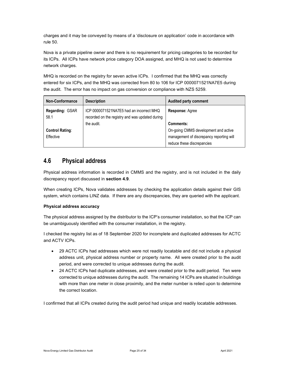charges and it may be conveyed by means of a 'disclosure on application' code in accordance with rule 50.

Nova is a private pipeline owner and there is no requirement for pricing categories to be recorded for its ICPs. All ICPs have network price category DOA assigned, and MHQ is not used to determine network charges.

MHQ is recorded on the registry for seven active ICPs. I confirmed that the MHQ was correctly entered for six ICPs, and the MHQ was corrected from 80 to 106 for ICP 0000071521NA7E5 during the audit. The error has no impact on gas conversion or compliance with NZS 5259.

| <b>Non-Conformance</b>  | <b>Description</b>                                                                          | <b>Audited party comment</b>                                           |
|-------------------------|---------------------------------------------------------------------------------------------|------------------------------------------------------------------------|
| Regarding: GSAR<br>58.1 | ICP 0000071521NA7E5 had an incorrect MHQ<br>recorded on the registry and was updated during | <b>Response: Agree</b>                                                 |
|                         | the audit.                                                                                  | Comments:                                                              |
| <b>Control Rating:</b>  |                                                                                             | On-going CMMS development and active                                   |
| Effective               |                                                                                             | management of discrepancy reporting will<br>reduce these discrepancies |

### 4.6 Physical address

Physical address information is recorded in CMMS and the registry, and is not included in the daily discrepancy report discussed in section 4.9.

When creating ICPs, Nova validates addresses by checking the application details against their GIS system, which contains LINZ data. If there are any discrepancies, they are queried with the applicant.

#### Physical address accuracy

The physical address assigned by the distributor to the ICP's consumer installation, so that the ICP can be unambiguously identified with the consumer installation, in the registry.

I checked the registry list as of 18 September 2020 for incomplete and duplicated addresses for ACTC and ACTV ICPs.

- 29 ACTC ICPs had addresses which were not readily locatable and did not include a physical address unit, physical address number or property name. All were created prior to the audit period, and were corrected to unique addresses during the audit.
- 24 ACTC ICPs had duplicate addresses, and were created prior to the audit period. Ten were corrected to unique addresses during the audit. The remaining 14 ICPs are situated in buildings with more than one meter in close proximity, and the meter number is relied upon to determine the correct location.

I confirmed that all ICPs created during the audit period had unique and readily locatable addresses.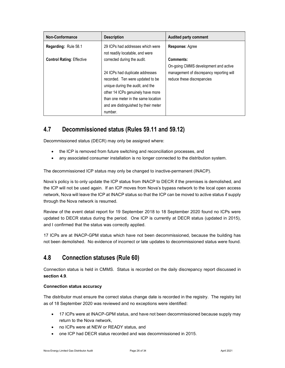| Non-Conformance                  | <b>Description</b>                                                  | <b>Audited party comment</b>             |
|----------------------------------|---------------------------------------------------------------------|------------------------------------------|
| <b>Regarding: Rule 58.1</b>      | 29 ICPs had addresses which were<br>not readily locatable, and were | <b>Response: Agree</b>                   |
| <b>Control Rating: Effective</b> | corrected during the audit.                                         | Comments:                                |
|                                  |                                                                     | On-going CMMS development and active     |
|                                  | 24 ICPs had duplicate addresses                                     | management of discrepancy reporting will |
|                                  | recorded. Ten were updated to be                                    | reduce these discrepancies               |
|                                  | unique during the audit, and the                                    |                                          |
|                                  | other 14 ICPs genuinely have more                                   |                                          |
|                                  | than one meter in the same location                                 |                                          |
|                                  | and are distinguished by their meter                                |                                          |
|                                  | number.                                                             |                                          |

# 4.7 Decommissioned status (Rules 59.11 and 59.12)

Decommissioned status (DECR) may only be assigned where:

- the ICP is removed from future switching and reconciliation processes, and
- any associated consumer installation is no longer connected to the distribution system.

The decommissioned ICP status may only be changed to inactive-permanent (INACP).

Nova's policy is to only update the ICP status from INACP to DECR if the premises is demolished, and the ICP will not be used again. If an ICP moves from Nova's bypass network to the local open access network, Nova will leave the ICP at INACP status so that the ICP can be moved to active status if supply through the Nova network is resumed.

Review of the event detail report for 19 September 2018 to 18 September 2020 found no ICPs were updated to DECR status during the period. One ICP is currently at DECR status (updated in 2015), and I confirmed that the status was correctly applied.

17 ICPs are at INACP-GPM status which have not been decommissioned, because the building has not been demolished. No evidence of incorrect or late updates to decommissioned status were found.

### 4.8 Connection statuses (Rule 60)

Connection status is held in CMMS. Status is recorded on the daily discrepancy report discussed in section 4.9.

#### Connection status accuracy

The distributor must ensure the correct status change date is recorded in the registry. The registry list as of 18 September 2020 was reviewed and no exceptions were identified:

- 17 ICPs were at INACP-GPM status, and have not been decommissioned because supply may return to the Nova network,
- no ICPs were at NEW or READY status, and
- one ICP had DECR status recorded and was decommissioned in 2015.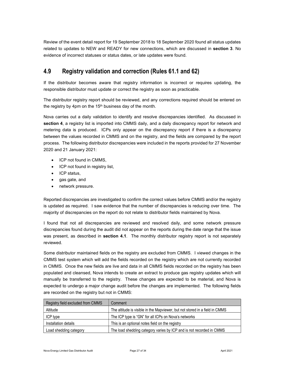Review of the event detail report for 19 September 2018 to 18 September 2020 found all status updates related to updates to NEW and READY for new connections, which are discussed in section 3. No evidence of incorrect statuses or status dates, or late updates were found.

### 4.9 Registry validation and correction (Rules 61.1 and 62)

If the distributor becomes aware that registry information is incorrect or requires updating, the responsible distributor must update or correct the registry as soon as practicable.

The distributor registry report should be reviewed, and any corrections required should be entered on the registry by 4pm on the  $15<sup>th</sup>$  business day of the month.

Nova carries out a daily validation to identify and resolve discrepancies identified. As discussed in section 4, a registry list is imported into CMMS daily, and a daily discrepancy report for network and metering data is produced. ICPs only appear on the discrepancy report if there is a discrepancy between the values recorded in CMMS and on the registry, and the fields are compared by the report process. The following distributor discrepancies were included in the reports provided for 27 November 2020 and 21 January 2021:

- ICP not found in CMMS,
- ICP not found in registry list,
- ICP status,
- gas gate, and
- network pressure.

Reported discrepancies are investigated to confirm the correct values before CMMS and/or the registry is updated as required. I saw evidence that the number of discrepancies is reducing over time. The majority of discrepancies on the report do not relate to distributor fields maintained by Nova.

I found that not all discrepancies are reviewed and resolved daily, and some network pressure discrepancies found during the audit did not appear on the reports during the date range that the issue was present, as described in **section 4.1**. The monthly distributor registry report is not separately reviewed.

Some distributor maintained fields on the registry are excluded from CMMS. I viewed changes in the CMMS test system which will add the fields recorded on the registry which are not currently recorded in CMMS. Once the new fields are live and data in all CMMS fields recorded on the registry has been populated and cleansed, Nova intends to create an extract to produce gas registry updates which will manually be transferred to the registry. These changes are expected to be material, and Nova is expected to undergo a major change audit before the changes are implemented. The following fields are recorded on the registry but not in CMMS:

| Registry field excluded from CMMS | Comment                                                                     |
|-----------------------------------|-----------------------------------------------------------------------------|
| Altitude                          | The altitude is visible in the Mapviewer, but not stored in a field in CMMS |
| ICP type                          | The ICP type is "GN" for all ICPs on Nova's networks                        |
| Installation details              | This is an optional notes field on the registry                             |
| Load shedding category            | The load shedding category varies by ICP and is not recorded in CMMS        |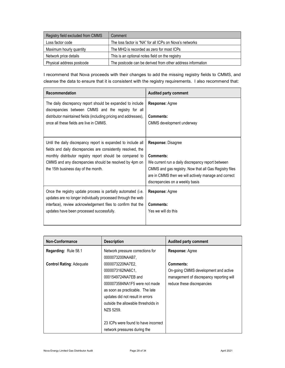| Registry field excluded from CMMS | Comment                                                    |
|-----------------------------------|------------------------------------------------------------|
| Loss factor code                  | The loss factor is "NA" for all ICPs on Nova's networks    |
| Maximum hourly quantity           | The MHQ is recorded as zero for most ICPs                  |
| Network price details             | This is an optional notes field on the registry            |
| Physical address postcode         | The postcode can be derived from other address information |

I recommend that Nova proceeds with their changes to add the missing registry fields to CMMS, and cleanse the data to ensure that it is consistent with the registry requirements. I also recommend that:

| Recommendation                                                                                                                                                                                                                                                                                | <b>Audited party comment</b>                                                                                                                                                                                                              |
|-----------------------------------------------------------------------------------------------------------------------------------------------------------------------------------------------------------------------------------------------------------------------------------------------|-------------------------------------------------------------------------------------------------------------------------------------------------------------------------------------------------------------------------------------------|
| The daily discrepancy report should be expanded to include<br>discrepancies between CMMS and the registry for all<br>distributor maintained fields (including pricing and addresses),<br>once all these fields are live in CMMS.                                                              | <b>Response: Agree</b><br>Comments:<br>CMMS development underway                                                                                                                                                                          |
| Until the daily discrepancy report is expanded to include all<br>fields and daily discrepancies are consistently resolved, the<br>monthly distributor registry report should be compared to<br>CMMS and any discrepancies should be resolved by 4pm on<br>the 15th business day of the month. | Response: Disagree<br>Comments:<br>We current run a daily discrepancy report between<br>CMMS and gas registry. Now that all Gas Registry files<br>are in CMMS then we will actively manage and correct<br>discrepancies on a weekly basis |
| Once the registry update process is partially automated (i.e.<br>updates are no longer individually processed through the web<br>interface), review acknowledgement files to confirm that the<br>updates have been processed successfully.                                                    | Response: Agree<br>Comments:<br>Yes we will do this                                                                                                                                                                                       |

| Non-Conformance                 | <b>Description</b>                   | <b>Audited party comment</b>             |
|---------------------------------|--------------------------------------|------------------------------------------|
| <b>Regarding: Rule 58.1</b>     | Network pressure corrections for     | Response: Agree                          |
|                                 | 0000073200NAAB7.                     |                                          |
| <b>Control Rating: Adequate</b> | 0000073220NA7E2.                     | Comments:                                |
|                                 | 0000073162NA6C1,                     | On-going CMMS development and active     |
|                                 | 0001549724NA7EB and                  | management of discrepancy reporting will |
|                                 | 0000073584NA1F5 were not made        | reduce these discrepancies               |
|                                 | as soon as practicable. The late     |                                          |
|                                 | updates did not result in errors     |                                          |
|                                 | outside the allowable thresholds in  |                                          |
|                                 | NZS 5259.                            |                                          |
|                                 |                                      |                                          |
|                                 | 23 ICPs were found to have incorrect |                                          |
|                                 | network pressures during the         |                                          |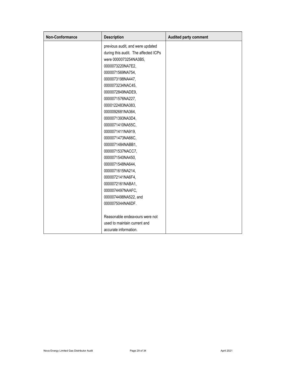| Non-Conformance | <b>Description</b>                   | Audited party comment |
|-----------------|--------------------------------------|-----------------------|
|                 | previous audit, and were updated     |                       |
|                 | during this audit. The affected ICPs |                       |
|                 | were 0000073254NA3B5,                |                       |
|                 | 0000073220NA7E2,                     |                       |
|                 | 0000071569NA754,                     |                       |
|                 | 0000073198NA447,                     |                       |
|                 | 0000073234NAC45,                     |                       |
|                 | 0000072849NADE9,                     |                       |
|                 | 0000071576NA227,                     |                       |
|                 | 0000122483NA383,                     |                       |
|                 | 0000092681NA364,                     |                       |
|                 | 0000071393NA3D4,                     |                       |
|                 | 0000071410NA55C,                     |                       |
|                 | 0000071411NA919,                     |                       |
|                 | 0000071473NA66C,                     |                       |
|                 | 0000071484NABB1,                     |                       |
|                 | 0000071537NACC7,                     |                       |
|                 | 0000071540NA450,                     |                       |
|                 | 0000071548NA644,                     |                       |
|                 | 0000071615NA214,                     |                       |
|                 | 0000072141NA6F4,                     |                       |
|                 | 0000072161NABA1,                     |                       |
|                 | 0000074497NAAFC,                     |                       |
|                 | 0000074498NA522, and                 |                       |
|                 | 0000075044NA6DF.                     |                       |
|                 |                                      |                       |
|                 | Reasonable endeavours were not       |                       |
|                 | used to maintain current and         |                       |
|                 | accurate information.                |                       |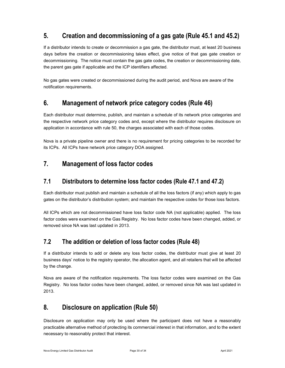# 5. Creation and decommissioning of a gas gate (Rule 45.1 and 45.2)

If a distributor intends to create or decommission a gas gate, the distributor must, at least 20 business days before the creation or decommissioning takes effect, give notice of that gas gate creation or decommissioning. The notice must contain the gas gate codes, the creation or decommissioning date, the parent gas gate if applicable and the ICP identifiers affected.

No gas gates were created or decommissioned during the audit period, and Nova are aware of the notification requirements.

# 6. Management of network price category codes (Rule 46)

Each distributor must determine, publish, and maintain a schedule of its network price categories and the respective network price category codes and, except where the distributor requires disclosure on application in accordance with rule 50, the charges associated with each of those codes.

Nova is a private pipeline owner and there is no requirement for pricing categories to be recorded for its ICPs. All ICPs have network price category DOA assigned.

# 7. Management of loss factor codes

### 7.1 Distributors to determine loss factor codes (Rule 47.1 and 47.2)

Each distributor must publish and maintain a schedule of all the loss factors (if any) which apply to gas gates on the distributor's distribution system; and maintain the respective codes for those loss factors.

All ICPs which are not decommissioned have loss factor code NA (not applicable) applied. The loss factor codes were examined on the Gas Registry. No loss factor codes have been changed, added, or removed since NA was last updated in 2013.

### 7.2 The addition or deletion of loss factor codes (Rule 48)

If a distributor intends to add or delete any loss factor codes, the distributor must give at least 20 business days' notice to the registry operator, the allocation agent, and all retailers that will be affected by the change.

Nova are aware of the notification requirements. The loss factor codes were examined on the Gas Registry. No loss factor codes have been changed, added, or removed since NA was last updated in 2013.

### 8. Disclosure on application (Rule 50)

Disclosure on application may only be used where the participant does not have a reasonably practicable alternative method of protecting its commercial interest in that information, and to the extent necessary to reasonably protect that interest.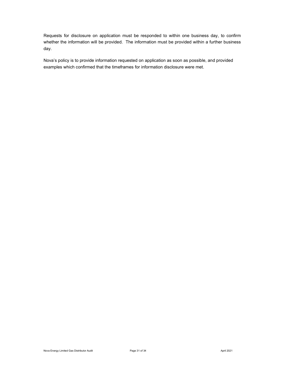Requests for disclosure on application must be responded to within one business day, to confirm whether the information will be provided. The information must be provided within a further business day.

Nova's policy is to provide information requested on application as soon as possible, and provided examples which confirmed that the timeframes for information disclosure were met.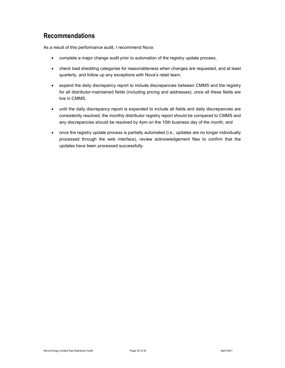### Recommendations

As a result of this performance audit, I recommend Nova:

- complete a major change audit prior to automation of the registry update process,
- check load shedding categories for reasonableness when changes are requested, and at least quarterly, and follow up any exceptions with Nova's retail team,
- expand the daily discrepancy report to include discrepancies between CMMS and the registry for all distributor-maintained fields (including pricing and addresses), once all these fields are live in CMMS,
- until the daily discrepancy report is expanded to include all fields and daily discrepancies are consistently resolved, the monthly distributor registry report should be compared to CMMS and any discrepancies should be resolved by 4pm on the 15th business day of the month, and
- once the registry update process is partially automated (i.e., updates are no longer individually processed through the web interface), review acknowledgement files to confirm that the updates have been processed successfully.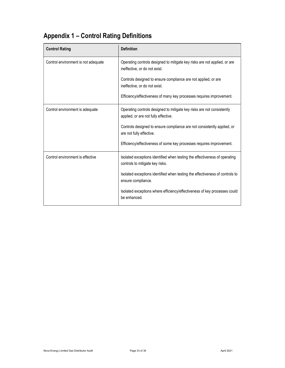# Appendix 1 – Control Rating Definitions

| <b>Control Rating</b>               | <b>Definition</b>                                                                                              |
|-------------------------------------|----------------------------------------------------------------------------------------------------------------|
| Control environment is not adequate | Operating controls designed to mitigate key risks are not applied, or are<br>ineffective, or do not exist.     |
|                                     | Controls designed to ensure compliance are not applied, or are<br>ineffective, or do not exist.                |
|                                     | Efficiency/effectiveness of many key processes requires improvement.                                           |
| Control environment is adequate     | Operating controls designed to mitigate key risks are not consistently<br>applied, or are not fully effective. |
|                                     | Controls designed to ensure compliance are not consistently applied, or<br>are not fully effective.            |
|                                     | Efficiency/effectiveness of some key processes requires improvement.                                           |
| Control environment is effective    | Isolated exceptions identified when testing the effectiveness of operating<br>controls to mitigate key risks.  |
|                                     | Isolated exceptions identified when testing the effectiveness of controls to<br>ensure compliance.             |
|                                     | Isolated exceptions where efficiency/effectiveness of key processes could<br>be enhanced.                      |